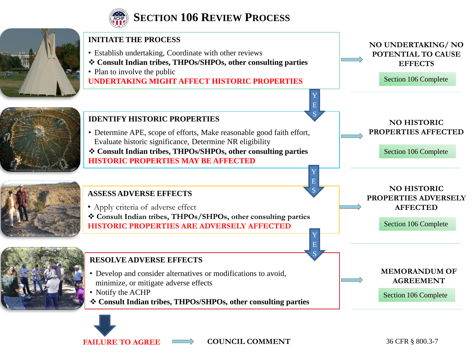

## **SECTION 106 REVIEW PROCESS**



FAILURE TO AGREE  $\longrightarrow$  COUNCIL COMMENT

36 CFR § 800.3-7